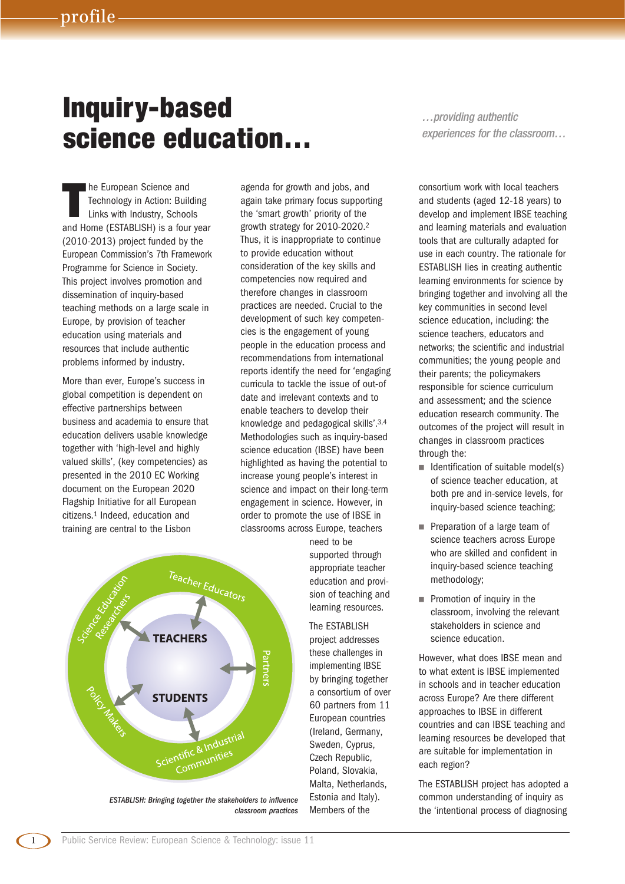## **Inquiry-based science education…**

**T** he European Science and Technology in Action: Building Links with Industry, Schools and Home (ESTABLISH) is a four year (2010-2013) project funded by the European Commission's 7th Framework Programme for Science in Society. This project involves promotion and dissemination of inquiry-based teaching methods on a large scale in Europe, by provision of teacher education using materials and resources that include authentic problems informed by industry.

More than ever, Europe's success in global competition is dependent on effective partnerships between business and academia to ensure that education delivers usable knowledge together with 'high-level and highly valued skills', (key competencies) as presented in the 2010 EC Working document on the European 2020 Flagship Initiative for all European citizens.1 Indeed, education and training are central to the Lisbon

agenda for growth and jobs, and again take primary focus supporting the 'smart growth' priority of the growth strategy for 2010-2020.2 Thus, it is inappropriate to continue to provide education without consideration of the key skills and competencies now required and therefore changes in classroom practices are needed. Crucial to the development of such key competencies is the engagement of young people in the education process and recommendations from international reports identify the need for 'engaging curricula to tackle the issue of out-of date and irrelevant contexts and to enable teachers to develop their knowledge and pedagogical skills'.3,4 Methodologies such as inquiry-based science education (IBSE) have been highlighted as having the potential to increase young people's interest in science and impact on their long-term engagement in science. However, in order to promote the use of IBSE in classrooms across Europe, teachers

> need to be supported through appropriate teacher education and provision of teaching and learning resources. The ESTABLISH

project addresses these challenges in implementing IBSE by bringing together a consortium of over 60 partners from 11 European countries (Ireland, Germany, Sweden, Cyprus, Czech Republic, Poland, Slovakia, Malta, Netherlands, Estonia and Italy). Members of the

*…providing authentic experiences for the classroom…*

consortium work with local teachers and students (aged 12-18 years) to develop and implement IBSE teaching and learning materials and evaluation tools that are culturally adapted for use in each country. The rationale for ESTABLISH lies in creating authentic learning environments for science by bringing together and involving all the key communities in second level science education, including: the science teachers, educators and networks; the scientific and industrial communities; the young people and their parents; the policymakers responsible for science curriculum and assessment; and the science education research community. The outcomes of the project will result in changes in classroom practices through the:

- Identification of suitable model(s) of science teacher education, at both pre and in-service levels, for inquiry-based science teaching;
- Preparation of a large team of science teachers across Europe who are skilled and confident in inquiry-based science teaching methodology;
- Promotion of inquiry in the classroom, involving the relevant stakeholders in science and science education.

However, what does IBSE mean and to what extent is IBSE implemented in schools and in teacher education across Europe? Are there different approaches to IBSE in different countries and can IBSE teaching and learning resources be developed that are suitable for implementation in each region?

The ESTABLISH project has adopted a common understanding of inquiry as the 'intentional process of diagnosing



*ESTABLISH: Bringing together the stakeholders to influence classroom practices*